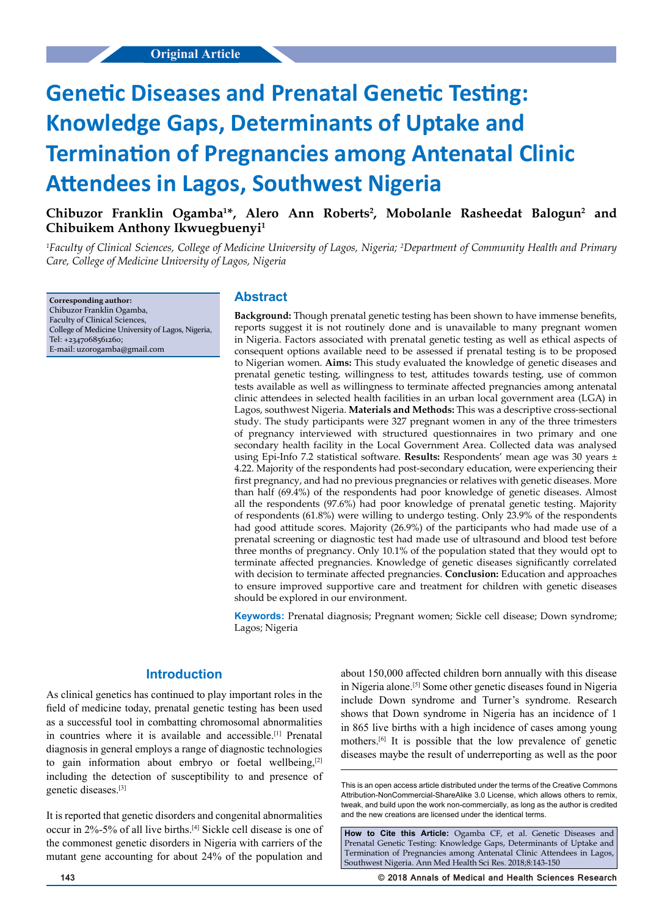# **Genetic Diseases and Prenatal Genetic Testing: Knowledge Gaps, Determinants of Uptake and Termination of Pregnancies among Antenatal Clinic Attendees in Lagos, Southwest Nigeria**

Chibuzor Franklin Ogamba<sup>1\*</sup>, Alero Ann Roberts<sup>2</sup>, Mobolanle Rasheedat Balogun<sup>2</sup> and **Chibuikem Anthony Ikwuegbuenyi1**

*1 Faculty of Clinical Sciences, College of Medicine University of Lagos, Nigeria; 2 Department of Community Health and Primary Care, College of Medicine University of Lagos, Nigeria*

**Corresponding author:** Chibuzor Franklin Ogamba, Faculty of Clinical Sciences, College of Medicine University of Lagos, Nigeria, Tel: +2347068561260; E-mail: uzorogamba@gmail.com

## **Abstract**

**Background:** Though prenatal genetic testing has been shown to have immense benefits, reports suggest it is not routinely done and is unavailable to many pregnant women in Nigeria. Factors associated with prenatal genetic testing as well as ethical aspects of consequent options available need to be assessed if prenatal testing is to be proposed to Nigerian women. **Aims:** This study evaluated the knowledge of genetic diseases and prenatal genetic testing, willingness to test, attitudes towards testing, use of common tests available as well as willingness to terminate affected pregnancies among antenatal clinic attendees in selected health facilities in an urban local government area (LGA) in Lagos, southwest Nigeria. **Materials and Methods:** This was a descriptive cross-sectional study. The study participants were 327 pregnant women in any of the three trimesters of pregnancy interviewed with structured questionnaires in two primary and one secondary health facility in the Local Government Area. Collected data was analysed using Epi-Info 7.2 statistical software. **Results:** Respondents' mean age was 30 years ± 4.22. Majority of the respondents had post-secondary education, were experiencing their first pregnancy, and had no previous pregnancies or relatives with genetic diseases. More than half (69.4%) of the respondents had poor knowledge of genetic diseases. Almost all the respondents (97.6%) had poor knowledge of prenatal genetic testing. Majority of respondents (61.8%) were willing to undergo testing. Only 23.9% of the respondents had good attitude scores. Majority (26.9%) of the participants who had made use of a prenatal screening or diagnostic test had made use of ultrasound and blood test before three months of pregnancy. Only 10.1% of the population stated that they would opt to terminate affected pregnancies. Knowledge of genetic diseases significantly correlated with decision to terminate affected pregnancies. **Conclusion:** Education and approaches to ensure improved supportive care and treatment for children with genetic diseases should be explored in our environment.

**Keywords:** Prenatal diagnosis; Pregnant women; Sickle cell disease; Down syndrome; Lagos; Nigeria

# **Introduction**

As clinical genetics has continued to play important roles in the field of medicine today, prenatal genetic testing has been used as a successful tool in combatting chromosomal abnormalities in countries where it is available and accessible.[1] Prenatal diagnosis in general employs a range of diagnostic technologies to gain information about embryo or foetal wellbeing, $[2]$ including the detection of susceptibility to and presence of genetic diseases.[3]

It is reported that genetic disorders and congenital abnormalities occur in 2%-5% of all live births.[4] Sickle cell disease is one of the commonest genetic disorders in Nigeria with carriers of the mutant gene accounting for about 24% of the population and

about 150,000 affected children born annually with this disease in Nigeria alone.[5] Some other genetic diseases found in Nigeria include Down syndrome and Turner's syndrome. Research shows that Down syndrome in Nigeria has an incidence of 1 in 865 live births with a high incidence of cases among young mothers.[6] It is possible that the low prevalence of genetic diseases maybe the result of underreporting as well as the poor

**How to Cite this Article:** Ogamba CF, et al. Genetic Diseases and Prenatal Genetic Testing: Knowledge Gaps, Determinants of Uptake and Termination of Pregnancies among Antenatal Clinic Attendees in Lagos, Southwest Nigeria. Ann Med Health Sci Res. 2018;8:143-150

**143 © 2018 Annals of Medical and Health Sciences Research** 

This is an open access article distributed under the terms of the Creative Commons Attribution‑NonCommercial‑ShareAlike 3.0 License, which allows others to remix tweak, and build upon the work non‑commercially, as long as the author is credited and the new creations are licensed under the identical terms.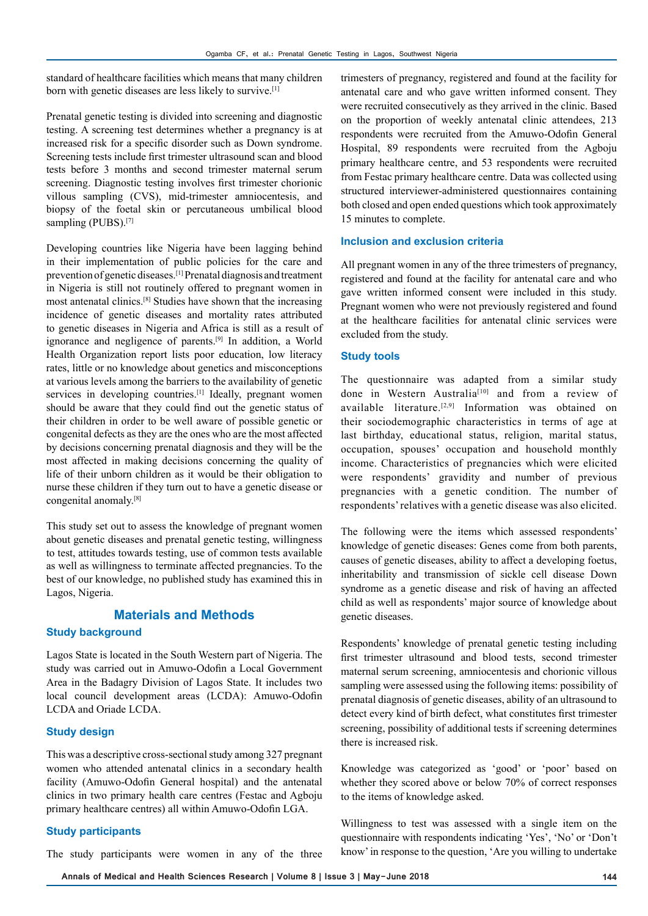standard of healthcare facilities which means that many children born with genetic diseases are less likely to survive.[1]

Prenatal genetic testing is divided into screening and diagnostic testing. A screening test determines whether a pregnancy is at increased risk for a specific disorder such as Down syndrome. Screening tests include first trimester ultrasound scan and blood tests before 3 months and second trimester maternal serum screening. Diagnostic testing involves first trimester chorionic villous sampling (CVS), mid-trimester amniocentesis, and biopsy of the foetal skin or percutaneous umbilical blood sampling (PUBS).<sup>[7]</sup>

Developing countries like Nigeria have been lagging behind in their implementation of public policies for the care and prevention of genetic diseases.[1] Prenatal diagnosis and treatment in Nigeria is still not routinely offered to pregnant women in most antenatal clinics.[8] Studies have shown that the increasing incidence of genetic diseases and mortality rates attributed to genetic diseases in Nigeria and Africa is still as a result of ignorance and negligence of parents.[9] In addition, a World Health Organization report lists poor education, low literacy rates, little or no knowledge about genetics and misconceptions at various levels among the barriers to the availability of genetic services in developing countries.<sup>[1]</sup> Ideally, pregnant women should be aware that they could find out the genetic status of their children in order to be well aware of possible genetic or congenital defects as they are the ones who are the most affected by decisions concerning prenatal diagnosis and they will be the most affected in making decisions concerning the quality of life of their unborn children as it would be their obligation to nurse these children if they turn out to have a genetic disease or congenital anomaly.[8]

This study set out to assess the knowledge of pregnant women about genetic diseases and prenatal genetic testing, willingness to test, attitudes towards testing, use of common tests available as well as willingness to terminate affected pregnancies. To the best of our knowledge, no published study has examined this in Lagos, Nigeria.

# **Materials and Methods**

#### **Study background**

Lagos State is located in the South Western part of Nigeria. The study was carried out in Amuwo-Odofin a Local Government Area in the Badagry Division of Lagos State. It includes two local council development areas (LCDA): Amuwo-Odofin LCDA and Oriade LCDA.

#### **Study design**

This was a descriptive cross-sectional study among 327 pregnant women who attended antenatal clinics in a secondary health facility (Amuwo-Odofin General hospital) and the antenatal clinics in two primary health care centres (Festac and Agboju primary healthcare centres) all within Amuwo-Odofin LGA.

#### **Study participants**

The study participants were women in any of the three

trimesters of pregnancy, registered and found at the facility for antenatal care and who gave written informed consent. They were recruited consecutively as they arrived in the clinic. Based on the proportion of weekly antenatal clinic attendees, 213 respondents were recruited from the Amuwo-Odofin General Hospital, 89 respondents were recruited from the Agboju primary healthcare centre, and 53 respondents were recruited from Festac primary healthcare centre. Data was collected using structured interviewer-administered questionnaires containing both closed and open ended questions which took approximately 15 minutes to complete.

#### **Inclusion and exclusion criteria**

All pregnant women in any of the three trimesters of pregnancy, registered and found at the facility for antenatal care and who gave written informed consent were included in this study. Pregnant women who were not previously registered and found at the healthcare facilities for antenatal clinic services were excluded from the study.

#### **Study tools**

The questionnaire was adapted from a similar study done in Western Australia<sup>[10]</sup> and from a review of available literature.<sup>[2,9]</sup> Information was obtained on their sociodemographic characteristics in terms of age at last birthday, educational status, religion, marital status, occupation, spouses' occupation and household monthly income. Characteristics of pregnancies which were elicited were respondents' gravidity and number of previous pregnancies with a genetic condition. The number of respondents' relatives with a genetic disease was also elicited.

The following were the items which assessed respondents' knowledge of genetic diseases: Genes come from both parents, causes of genetic diseases, ability to affect a developing foetus, inheritability and transmission of sickle cell disease Down syndrome as a genetic disease and risk of having an affected child as well as respondents' major source of knowledge about genetic diseases.

Respondents' knowledge of prenatal genetic testing including first trimester ultrasound and blood tests, second trimester maternal serum screening, amniocentesis and chorionic villous sampling were assessed using the following items: possibility of prenatal diagnosis of genetic diseases, ability of an ultrasound to detect every kind of birth defect, what constitutes first trimester screening, possibility of additional tests if screening determines there is increased risk.

Knowledge was categorized as 'good' or 'poor' based on whether they scored above or below 70% of correct responses to the items of knowledge asked.

Willingness to test was assessed with a single item on the questionnaire with respondents indicating 'Yes', 'No' or 'Don't know' in response to the question, 'Are you willing to undertake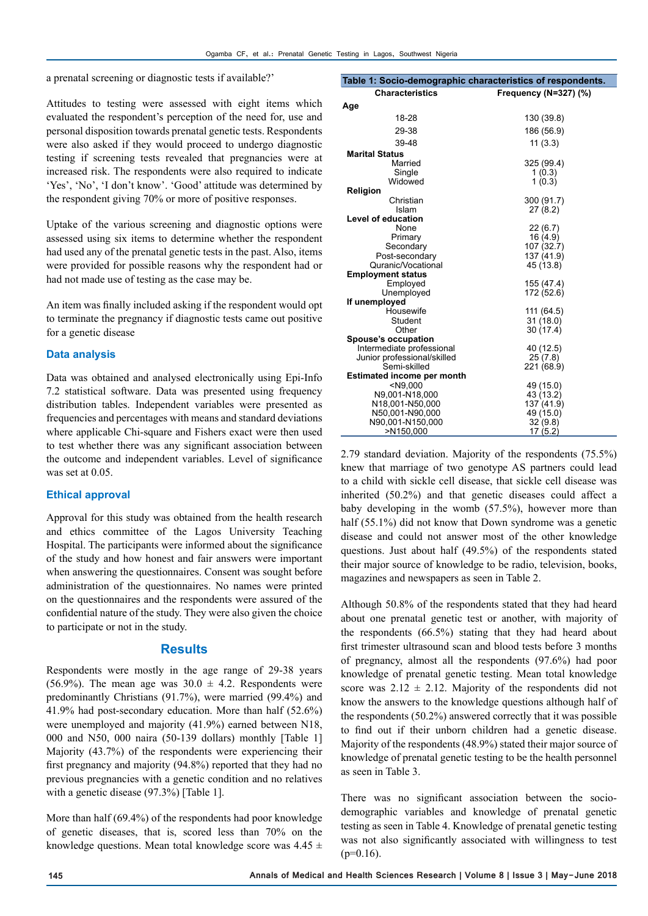a prenatal screening or diagnostic tests if available?'

Attitudes to testing were assessed with eight items which evaluated the respondent's perception of the need for, use and personal disposition towards prenatal genetic tests. Respondents were also asked if they would proceed to undergo diagnostic testing if screening tests revealed that pregnancies were at increased risk. The respondents were also required to indicate 'Yes', 'No', 'I don't know'. 'Good' attitude was determined by the respondent giving 70% or more of positive responses.

Uptake of the various screening and diagnostic options were assessed using six items to determine whether the respondent had used any of the prenatal genetic tests in the past. Also, items were provided for possible reasons why the respondent had or had not made use of testing as the case may be.

An item was finally included asking if the respondent would opt to terminate the pregnancy if diagnostic tests came out positive for a genetic disease

#### **Data analysis**

Data was obtained and analysed electronically using Epi-Info 7.2 statistical software. Data was presented using frequency distribution tables. Independent variables were presented as frequencies and percentages with means and standard deviations where applicable Chi-square and Fishers exact were then used to test whether there was any significant association between the outcome and independent variables. Level of significance was set at 0.05.

#### **Ethical approval**

Approval for this study was obtained from the health research and ethics committee of the Lagos University Teaching Hospital. The participants were informed about the significance of the study and how honest and fair answers were important when answering the questionnaires. Consent was sought before administration of the questionnaires. No names were printed on the questionnaires and the respondents were assured of the confidential nature of the study. They were also given the choice to participate or not in the study.

#### **Results**

Respondents were mostly in the age range of 29-38 years (56.9%). The mean age was  $30.0 \pm 4.2$ . Respondents were predominantly Christians (91.7%), were married (99.4%) and 41.9% had post-secondary education. More than half (52.6%) were unemployed and majority (41.9%) earned between N18, 000 and N50, 000 naira (50-139 dollars) monthly [Table 1] Majority (43.7%) of the respondents were experiencing their first pregnancy and majority (94.8%) reported that they had no previous pregnancies with a genetic condition and no relatives with a genetic disease (97.3%) [Table 1].

More than half (69.4%) of the respondents had poor knowledge of genetic diseases, that is, scored less than 70% on the knowledge questions. Mean total knowledge score was  $4.45 \pm$ 

| Table 1: Socio-demographic characteristics of respondents. |                       |  |
|------------------------------------------------------------|-----------------------|--|
| <b>Characteristics</b>                                     | Frequency (N=327) (%) |  |
| Age                                                        |                       |  |
| 18-28                                                      | 130 (39.8)            |  |
|                                                            |                       |  |
| 29-38                                                      | 186 (56.9)            |  |
| 39-48                                                      | 11(3.3)               |  |
| <b>Marital Status</b>                                      |                       |  |
| Married                                                    | 325 (99.4)            |  |
| Single                                                     | 1(0.3)                |  |
| Widowed                                                    | 1(0.3)                |  |
| Religion                                                   |                       |  |
| Christian                                                  | 300 (91.7)            |  |
| Islam                                                      | 27 (8.2)              |  |
| <b>Level of education</b>                                  |                       |  |
| None                                                       | 22(6.7)               |  |
| Primary                                                    | 16 (4.9)              |  |
| Secondary                                                  | 107 (32.7)            |  |
| Post-secondary                                             | 137 (41.9)            |  |
| Quranic/Vocational                                         | 45 (13.8)             |  |
| <b>Employment status</b>                                   |                       |  |
| Employed                                                   | 155 (47.4)            |  |
| Unemployed                                                 | 172 (52.6)            |  |
| If unemployed                                              |                       |  |
| Housewife                                                  | 111 (64.5)            |  |
| Student                                                    | 31(18.0)              |  |
| Other                                                      | 30 (17.4)             |  |
| Spouse's occupation                                        |                       |  |
| Intermediate professional                                  | 40 (12.5)             |  |
| Junior professional/skilled                                | 25(7.8)               |  |
| Semi-skilled                                               | 221 (68.9)            |  |
| <b>Estimated income per month</b>                          |                       |  |
| $<$ N9,000                                                 | 49 (15.0)             |  |
| N9,001-N18,000                                             | 43 (13.2)             |  |
| N18,001-N50,000                                            | 137 (41.9)            |  |
| N50,001-N90,000                                            | 49 (15.0)             |  |
| N90,001-N150,000                                           | 32 (9.8)              |  |
| >N150,000                                                  | 17 (5.2)              |  |

2.79 standard deviation. Majority of the respondents (75.5%) knew that marriage of two genotype AS partners could lead to a child with sickle cell disease, that sickle cell disease was inherited (50.2%) and that genetic diseases could affect a baby developing in the womb (57.5%), however more than half (55.1%) did not know that Down syndrome was a genetic disease and could not answer most of the other knowledge questions. Just about half (49.5%) of the respondents stated their major source of knowledge to be radio, television, books, magazines and newspapers as seen in Table 2.

Although 50.8% of the respondents stated that they had heard about one prenatal genetic test or another, with majority of the respondents (66.5%) stating that they had heard about first trimester ultrasound scan and blood tests before 3 months of pregnancy, almost all the respondents (97.6%) had poor knowledge of prenatal genetic testing. Mean total knowledge score was  $2.12 \pm 2.12$ . Majority of the respondents did not know the answers to the knowledge questions although half of the respondents (50.2%) answered correctly that it was possible to find out if their unborn children had a genetic disease. Majority of the respondents (48.9%) stated their major source of knowledge of prenatal genetic testing to be the health personnel as seen in Table 3.

There was no significant association between the sociodemographic variables and knowledge of prenatal genetic testing as seen in Table 4. Knowledge of prenatal genetic testing was not also significantly associated with willingness to test  $(p=0.16)$ .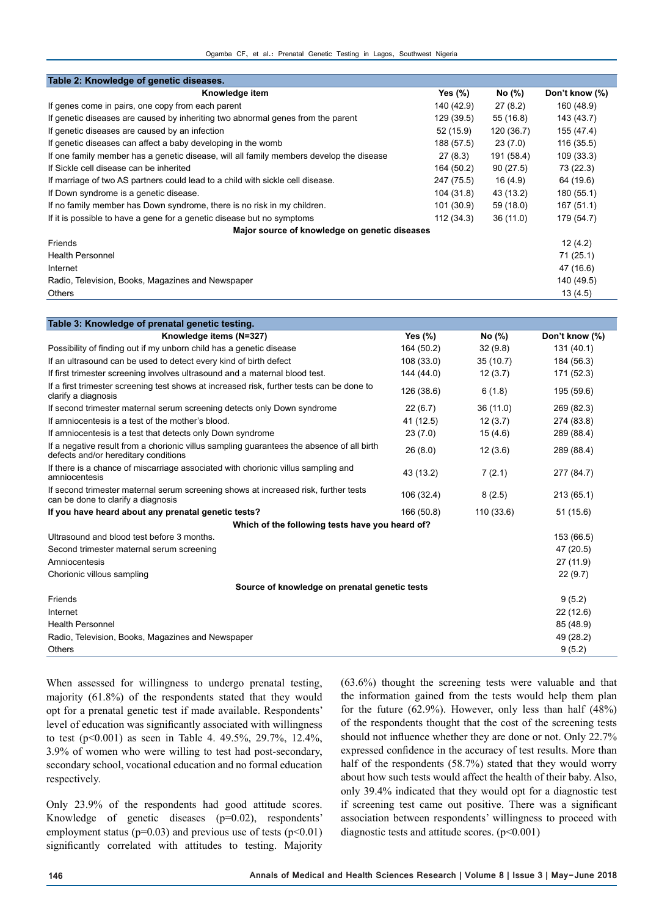| Table 2: Knowledge of genetic diseases.                                                                                           |            |            |                |
|-----------------------------------------------------------------------------------------------------------------------------------|------------|------------|----------------|
| Knowledge item                                                                                                                    | Yes $(\%)$ | No (%)     | Don't know (%) |
| If genes come in pairs, one copy from each parent                                                                                 | 140 (42.9) | 27(8.2)    | 160 (48.9)     |
| If genetic diseases are caused by inheriting two abnormal genes from the parent                                                   | 129 (39.5) | 55 (16.8)  | 143 (43.7)     |
| If genetic diseases are caused by an infection                                                                                    | 52 (15.9)  | 120 (36.7) | 155 (47.4)     |
| If genetic diseases can affect a baby developing in the womb                                                                      | 188 (57.5) | 23(7.0)    | 116(35.5)      |
| If one family member has a genetic disease, will all family members develop the disease                                           | 27(8.3)    | 191 (58.4) | 109 (33.3)     |
| If Sickle cell disease can be inherited                                                                                           | 164 (50.2) | 90(27.5)   | 73 (22.3)      |
| If marriage of two AS partners could lead to a child with sickle cell disease.                                                    | 247 (75.5) | 16 (4.9)   | 64 (19.6)      |
| If Down syndrome is a genetic disease.                                                                                            | 104 (31.8) | 43 (13.2)  | 180 (55.1)     |
| If no family member has Down syndrome, there is no risk in my children.                                                           | 101 (30.9) | 59 (18.0)  | 167(51.1)      |
| If it is possible to have a gene for a genetic disease but no symptoms                                                            | 112(34.3)  | 36 (11.0)  | 179 (54.7)     |
| Major source of knowledge on genetic diseases                                                                                     |            |            |                |
| Friends                                                                                                                           |            |            | 12(4.2)        |
| <b>Health Personnel</b>                                                                                                           |            |            | 71 (25.1)      |
| Internet                                                                                                                          |            |            | 47 (16.6)      |
| Radio, Television, Books, Magazines and Newspaper                                                                                 |            |            | 140 (49.5)     |
| Others                                                                                                                            |            |            | 13(4.5)        |
|                                                                                                                                   |            |            |                |
| Table 3: Knowledge of prenatal genetic testing.                                                                                   |            |            |                |
| Knowledge items (N=327)                                                                                                           | Yes $(\%)$ | No (%)     | Don't know (%) |
| Possibility of finding out if my unborn child has a genetic disease                                                               | 164 (50.2) | 32(9.8)    | 131 (40.1)     |
| If an ultrasound can be used to detect every kind of birth defect                                                                 | 108 (33.0) | 35(10.7)   | 184 (56.3)     |
| If first trimester screening involves ultrasound and a maternal blood test.                                                       | 144 (44.0) | 12(3.7)    | 171 (52.3)     |
| If a first trimester screening test shows at increased risk, further tests can be done to<br>clarify a diagnosis                  | 126 (38.6) | 6(1.8)     | 195 (59.6)     |
| If second trimester maternal serum screening detects only Down syndrome                                                           | 22 (6.7)   | 36 (11.0)  | 269 (82.3)     |
| If amniocentesis is a test of the mother's blood.                                                                                 | 41 (12.5)  | 12(3.7)    | 274 (83.8)     |
| If amniocentesis is a test that detects only Down syndrome                                                                        | 23(7.0)    | 15(4.6)    | 289 (88.4)     |
| If a negative result from a chorionic villus sampling guarantees the absence of all birth<br>defects and/or hereditary conditions | 26 (8.0)   | 12(3.6)    | 289 (88.4)     |
| If there is a chance of miscarriage associated with chorionic villus sampling and<br>amniocentesis                                | 43 (13.2)  | 7(2.1)     | 277 (84.7)     |
| If second trimester maternal serum screening shows at increased risk, further tests<br>can be done to clarify a diagnosis         | 106 (32.4) | 8(2.5)     | 213 (65.1)     |
| If you have heard about any prenatal genetic tests?                                                                               | 166 (50.8) | 110 (33.6) | 51 (15.6)      |
| Which of the following tests have you heard of?                                                                                   |            |            |                |
| Ultrasound and blood test before 3 months.                                                                                        |            |            | 153 (66.5)     |
| Second trimester maternal serum screening                                                                                         |            |            | 47 (20.5)      |
| Amniocentesis                                                                                                                     |            |            | 27 (11.9)      |
| Chorionic villous sampling                                                                                                        |            |            | 22 (9.7)       |
| Source of knowledge on prenatal genetic tests                                                                                     |            |            |                |
| Eriande                                                                                                                           |            |            | Q(f, 2)        |

Friends 9 (5.2)  $\blacksquare$ Internet 22 (12.6) Health Personnel 85 (48.9) Radio, Television, Books, Magazines and Newspaper 49 (28.2) Others 9 (5.2)

When assessed for willingness to undergo prenatal testing, majority (61.8%) of the respondents stated that they would opt for a prenatal genetic test if made available. Respondents' level of education was significantly associated with willingness to test (p<0.001) as seen in Table 4. 49.5%, 29.7%, 12.4%, 3.9% of women who were willing to test had post-secondary, secondary school, vocational education and no formal education respectively.

Only 23.9% of the respondents had good attitude scores. Knowledge of genetic diseases (p=0.02), respondents' employment status ( $p=0.03$ ) and previous use of tests ( $p<0.01$ ) significantly correlated with attitudes to testing. Majority (63.6%) thought the screening tests were valuable and that the information gained from the tests would help them plan for the future (62.9%). However, only less than half (48%) of the respondents thought that the cost of the screening tests should not influence whether they are done or not. Only 22.7% expressed confidence in the accuracy of test results. More than half of the respondents (58.7%) stated that they would worry about how such tests would affect the health of their baby. Also, only 39.4% indicated that they would opt for a diagnostic test if screening test came out positive. There was a significant association between respondents' willingness to proceed with diagnostic tests and attitude scores.  $(p<0.001)$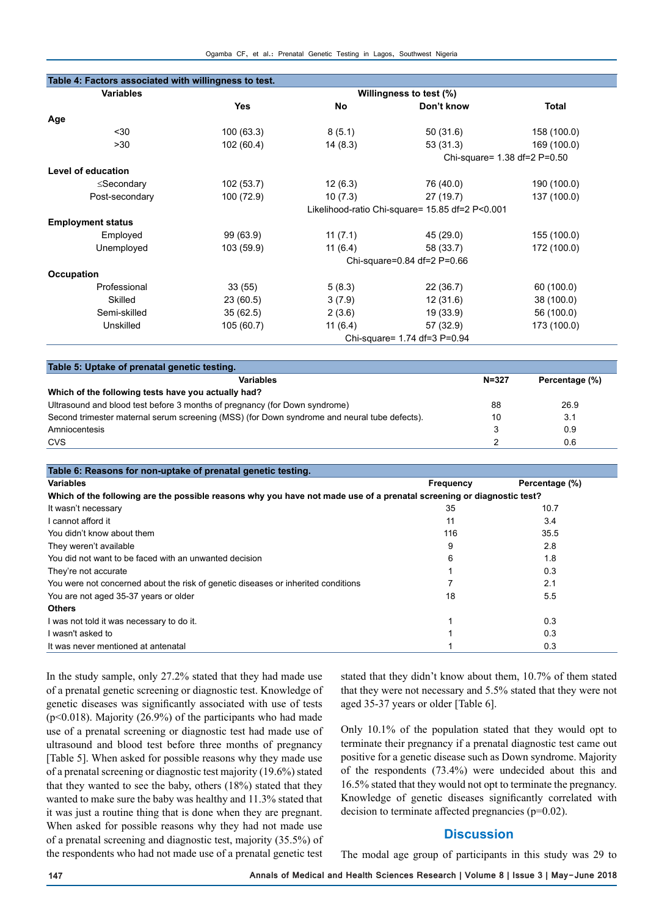| Table 4: Factors associated with willingness to test. |                                                 |            |                              |                              |  |
|-------------------------------------------------------|-------------------------------------------------|------------|------------------------------|------------------------------|--|
| <b>Variables</b>                                      | Willingness to test (%)                         |            |                              |                              |  |
|                                                       | <b>Yes</b>                                      | <b>No</b>  | Don't know                   | <b>Total</b>                 |  |
| Age                                                   |                                                 |            |                              |                              |  |
| $30$                                                  | 100 (63.3)                                      | 8(5.1)     | 50(31.6)                     | 158 (100.0)                  |  |
| >30                                                   | 102(60.4)                                       | 14(8.3)    | 53(31.3)                     | 169 (100.0)                  |  |
|                                                       |                                                 |            |                              | Chi-square= 1.38 df=2 P=0.50 |  |
| Level of education                                    |                                                 |            |                              |                              |  |
| ≤Secondary                                            | 102 (53.7)                                      | 12(6.3)    | 76 (40.0)                    | 190 (100.0)                  |  |
| Post-secondary                                        | 100 (72.9)                                      | 10(7.3)    | 27 (19.7)                    | 137 (100.0)                  |  |
|                                                       | Likelihood-ratio Chi-square= 15.85 df=2 P<0.001 |            |                              |                              |  |
| <b>Employment status</b>                              |                                                 |            |                              |                              |  |
| Employed                                              | 99 (63.9)                                       | 11(7.1)    | 45 (29.0)                    | 155 (100.0)                  |  |
| Unemployed                                            | 103 (59.9)                                      | 11 $(6.4)$ | 58 (33.7)                    | 172 (100.0)                  |  |
|                                                       | Chi-square=0.84 df=2 P=0.66                     |            |                              |                              |  |
| Occupation                                            |                                                 |            |                              |                              |  |
| Professional                                          | 33(55)                                          | 5(8.3)     | 22(36.7)                     | 60 (100.0)                   |  |
| Skilled                                               | 23(60.5)                                        | 3(7.9)     | 12(31.6)                     | 38 (100.0)                   |  |
| Semi-skilled                                          | 35(62.5)                                        | 2(3.6)     | 19 (33.9)                    | 56 (100.0)                   |  |
| Unskilled                                             | 105 (60.7)                                      | 11(6.4)    | 57 (32.9)                    | 173 (100.0)                  |  |
|                                                       |                                                 |            | Chi-square= 1.74 df=3 P=0.94 |                              |  |

| Table 5: Uptake of prenatal genetic testing.                                                 |           |                |
|----------------------------------------------------------------------------------------------|-----------|----------------|
| Variables                                                                                    | $N = 327$ | Percentage (%) |
| Which of the following tests have you actually had?                                          |           |                |
| Ultrasound and blood test before 3 months of pregnancy (for Down syndrome)                   | 88        | 26.9           |
| Second trimester maternal serum screening (MSS) (for Down syndrome and neural tube defects). | 10        | 3.1            |
| Amniocentesis                                                                                |           | 0.9            |
| <b>CVS</b>                                                                                   |           | 0.6            |

| Table 6: Reasons for non-uptake of prenatal genetic testing.                                                          |           |                |  |  |  |
|-----------------------------------------------------------------------------------------------------------------------|-----------|----------------|--|--|--|
| Variables                                                                                                             | Frequency | Percentage (%) |  |  |  |
| Which of the following are the possible reasons why you have not made use of a prenatal screening or diagnostic test? |           |                |  |  |  |
| It wasn't necessary                                                                                                   | 35        | 10.7           |  |  |  |
| I cannot afford it                                                                                                    | 11        | 3.4            |  |  |  |
| You didn't know about them                                                                                            | 116       | 35.5           |  |  |  |
| They weren't available                                                                                                | 9         | 2.8            |  |  |  |
| You did not want to be faced with an unwanted decision                                                                | 6         | 1.8            |  |  |  |
| They're not accurate                                                                                                  |           | 0.3            |  |  |  |
| You were not concerned about the risk of genetic diseases or inherited conditions                                     |           | 2.1            |  |  |  |
| You are not aged 35-37 years or older                                                                                 | 18        | 5.5            |  |  |  |
| <b>Others</b>                                                                                                         |           |                |  |  |  |
| I was not told it was necessary to do it.                                                                             |           | 0.3            |  |  |  |
| I wasn't asked to                                                                                                     |           | 0.3            |  |  |  |
| It was never mentioned at antenatal                                                                                   |           | 0.3            |  |  |  |

In the study sample, only 27.2% stated that they had made use of a prenatal genetic screening or diagnostic test. Knowledge of genetic diseases was significantly associated with use of tests ( $p<0.018$ ). Majority (26.9%) of the participants who had made use of a prenatal screening or diagnostic test had made use of ultrasound and blood test before three months of pregnancy [Table 5]. When asked for possible reasons why they made use of a prenatal screening or diagnostic test majority (19.6%) stated that they wanted to see the baby, others (18%) stated that they wanted to make sure the baby was healthy and 11.3% stated that it was just a routine thing that is done when they are pregnant. When asked for possible reasons why they had not made use of a prenatal screening and diagnostic test, majority (35.5%) of the respondents who had not made use of a prenatal genetic test stated that they didn't know about them, 10.7% of them stated that they were not necessary and 5.5% stated that they were not aged 35-37 years or older [Table 6].

Only 10.1% of the population stated that they would opt to terminate their pregnancy if a prenatal diagnostic test came out positive for a genetic disease such as Down syndrome. Majority of the respondents (73.4%) were undecided about this and 16.5% stated that they would not opt to terminate the pregnancy. Knowledge of genetic diseases significantly correlated with decision to terminate affected pregnancies (p=0.02).

#### **Discussion**

The modal age group of participants in this study was 29 to

**147 Annals of Medical and Health Sciences Research | Volume 8 | Issue 3 | May-June 2018**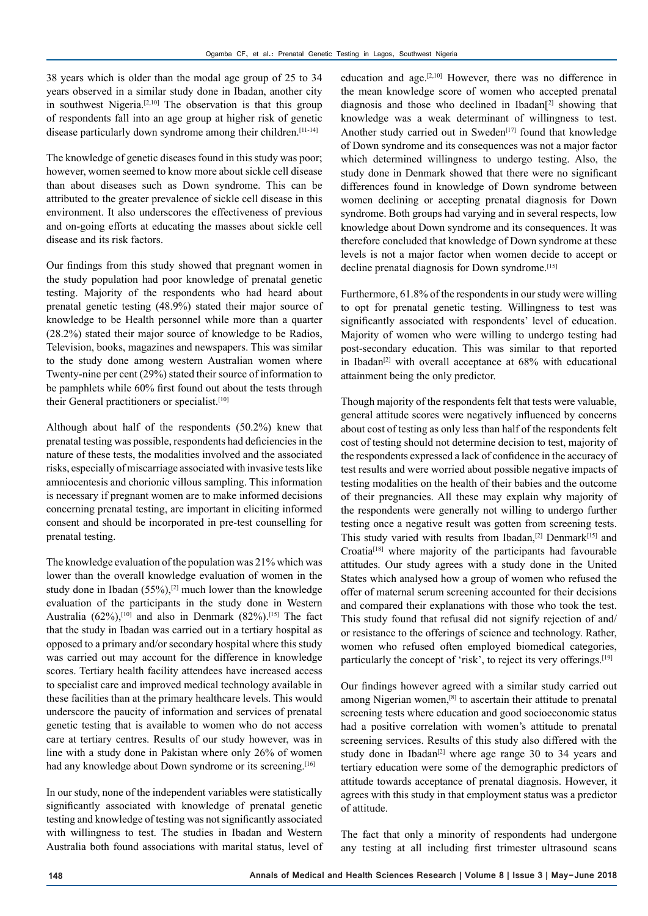38 years which is older than the modal age group of 25 to 34 years observed in a similar study done in Ibadan, another city in southwest Nigeria.<sup>[2,10]</sup> The observation is that this group of respondents fall into an age group at higher risk of genetic disease particularly down syndrome among their children.[11-14]

The knowledge of genetic diseases found in this study was poor; however, women seemed to know more about sickle cell disease than about diseases such as Down syndrome. This can be attributed to the greater prevalence of sickle cell disease in this environment. It also underscores the effectiveness of previous and on-going efforts at educating the masses about sickle cell disease and its risk factors.

Our findings from this study showed that pregnant women in the study population had poor knowledge of prenatal genetic testing. Majority of the respondents who had heard about prenatal genetic testing (48.9%) stated their major source of knowledge to be Health personnel while more than a quarter (28.2%) stated their major source of knowledge to be Radios, Television, books, magazines and newspapers. This was similar to the study done among western Australian women where Twenty-nine per cent (29%) stated their source of information to be pamphlets while 60% first found out about the tests through their General practitioners or specialist.<sup>[10]</sup>

Although about half of the respondents (50.2%) knew that prenatal testing was possible, respondents had deficiencies in the nature of these tests, the modalities involved and the associated risks, especially of miscarriage associated with invasive tests like amniocentesis and chorionic villous sampling. This information is necessary if pregnant women are to make informed decisions concerning prenatal testing, are important in eliciting informed consent and should be incorporated in pre-test counselling for prenatal testing.

The knowledge evaluation of the population was 21% which was lower than the overall knowledge evaluation of women in the study done in Ibadan  $(55\%)$ ,<sup>[2]</sup> much lower than the knowledge evaluation of the participants in the study done in Western Australia  $(62\%)$ <sup>[10]</sup> and also in Denmark  $(82\%)$ <sup>[15]</sup> The fact that the study in Ibadan was carried out in a tertiary hospital as opposed to a primary and/or secondary hospital where this study was carried out may account for the difference in knowledge scores. Tertiary health facility attendees have increased access to specialist care and improved medical technology available in these facilities than at the primary healthcare levels. This would underscore the paucity of information and services of prenatal genetic testing that is available to women who do not access care at tertiary centres. Results of our study however, was in line with a study done in Pakistan where only 26% of women had any knowledge about Down syndrome or its screening.<sup>[16]</sup>

In our study, none of the independent variables were statistically significantly associated with knowledge of prenatal genetic testing and knowledge of testing was not significantly associated with willingness to test. The studies in Ibadan and Western Australia both found associations with marital status, level of

education and age.<sup>[2,10]</sup> However, there was no difference in the mean knowledge score of women who accepted prenatal diagnosis and those who declined in Ibadan[2] showing that knowledge was a weak determinant of willingness to test. Another study carried out in Sweden<sup>[17]</sup> found that knowledge of Down syndrome and its consequences was not a major factor which determined willingness to undergo testing. Also, the study done in Denmark showed that there were no significant differences found in knowledge of Down syndrome between women declining or accepting prenatal diagnosis for Down syndrome. Both groups had varying and in several respects, low knowledge about Down syndrome and its consequences. It was therefore concluded that knowledge of Down syndrome at these levels is not a major factor when women decide to accept or decline prenatal diagnosis for Down syndrome.[15]

Furthermore, 61.8% of the respondents in our study were willing to opt for prenatal genetic testing. Willingness to test was significantly associated with respondents' level of education. Majority of women who were willing to undergo testing had post-secondary education. This was similar to that reported in Ibadan<sup>[2]</sup> with overall acceptance at  $68\%$  with educational attainment being the only predictor.

Though majority of the respondents felt that tests were valuable, general attitude scores were negatively influenced by concerns about cost of testing as only less than half of the respondents felt cost of testing should not determine decision to test, majority of the respondents expressed a lack of confidence in the accuracy of test results and were worried about possible negative impacts of testing modalities on the health of their babies and the outcome of their pregnancies. All these may explain why majority of the respondents were generally not willing to undergo further testing once a negative result was gotten from screening tests. This study varied with results from Ibadan,<sup>[2]</sup> Denmark<sup>[15]</sup> and Croatia[18] where majority of the participants had favourable attitudes. Our study agrees with a study done in the United States which analysed how a group of women who refused the offer of maternal serum screening accounted for their decisions and compared their explanations with those who took the test. This study found that refusal did not signify rejection of and/ or resistance to the offerings of science and technology. Rather, women who refused often employed biomedical categories, particularly the concept of 'risk', to reject its very offerings.<sup>[19]</sup>

Our findings however agreed with a similar study carried out among Nigerian women,[8] to ascertain their attitude to prenatal screening tests where education and good socioeconomic status had a positive correlation with women's attitude to prenatal screening services. Results of this study also differed with the study done in Ibadan<sup>[2]</sup> where age range 30 to 34 years and tertiary education were some of the demographic predictors of attitude towards acceptance of prenatal diagnosis. However, it agrees with this study in that employment status was a predictor of attitude.

The fact that only a minority of respondents had undergone any testing at all including first trimester ultrasound scans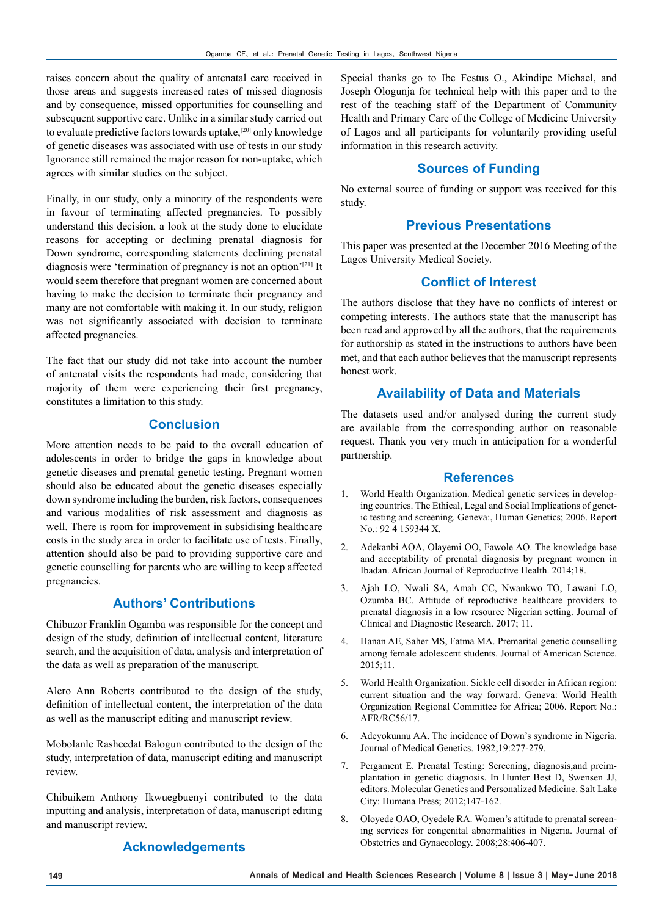raises concern about the quality of antenatal care received in those areas and suggests increased rates of missed diagnosis and by consequence, missed opportunities for counselling and subsequent supportive care. Unlike in a similar study carried out to evaluate predictive factors towards uptake,[20] only knowledge of genetic diseases was associated with use of tests in our study Ignorance still remained the major reason for non-uptake, which agrees with similar studies on the subject.

Finally, in our study, only a minority of the respondents were in favour of terminating affected pregnancies. To possibly understand this decision, a look at the study done to elucidate reasons for accepting or declining prenatal diagnosis for Down syndrome, corresponding statements declining prenatal diagnosis were 'termination of pregnancy is not an option'<sup>[21]</sup> It would seem therefore that pregnant women are concerned about having to make the decision to terminate their pregnancy and many are not comfortable with making it. In our study, religion was not significantly associated with decision to terminate affected pregnancies.

The fact that our study did not take into account the number of antenatal visits the respondents had made, considering that majority of them were experiencing their first pregnancy, constitutes a limitation to this study.

# **Conclusion**

More attention needs to be paid to the overall education of adolescents in order to bridge the gaps in knowledge about genetic diseases and prenatal genetic testing. Pregnant women should also be educated about the genetic diseases especially down syndrome including the burden, risk factors, consequences and various modalities of risk assessment and diagnosis as well. There is room for improvement in subsidising healthcare costs in the study area in order to facilitate use of tests. Finally, attention should also be paid to providing supportive care and genetic counselling for parents who are willing to keep affected pregnancies.

# **Authors' Contributions**

Chibuzor Franklin Ogamba was responsible for the concept and design of the study, definition of intellectual content, literature search, and the acquisition of data, analysis and interpretation of the data as well as preparation of the manuscript.

Alero Ann Roberts contributed to the design of the study, definition of intellectual content, the interpretation of the data as well as the manuscript editing and manuscript review.

Mobolanle Rasheedat Balogun contributed to the design of the study, interpretation of data, manuscript editing and manuscript review.

Chibuikem Anthony Ikwuegbuenyi contributed to the data inputting and analysis, interpretation of data, manuscript editing and manuscript review.

## **Acknowledgements**

Special thanks go to Ibe Festus O., Akindipe Michael, and Joseph Ologunja for technical help with this paper and to the rest of the teaching staff of the Department of Community Health and Primary Care of the College of Medicine University of Lagos and all participants for voluntarily providing useful information in this research activity.

## **Sources of Funding**

No external source of funding or support was received for this study.

### **Previous Presentations**

This paper was presented at the December 2016 Meeting of the Lagos University Medical Society.

# **Conflict of Interest**

The authors disclose that they have no conflicts of interest or competing interests. The authors state that the manuscript has been read and approved by all the authors, that the requirements for authorship as stated in the instructions to authors have been met, and that each author believes that the manuscript represents honest work.

## **Availability of Data and Materials**

The datasets used and/or analysed during the current study are available from the corresponding author on reasonable request. Thank you very much in anticipation for a wonderful partnership.

#### **References**

- 1. World Health Organization. Medical genetic services in developing countries. The Ethical, Legal and Social Implications of genetic testing and screening. Geneva:, Human Genetics; 2006. Report No.: 92 4 159344 X.
- 2. Adekanbi AOA, Olayemi OO, Fawole AO. The knowledge base and acceptability of prenatal diagnosis by pregnant women in Ibadan. African Journal of Reproductive Health. 2014;18.
- 3. Ajah LO, Nwali SA, Amah CC, Nwankwo TO, Lawani LO, Ozumba BC. Attitude of reproductive healthcare providers to prenatal diagnosis in a low resource Nigerian setting. Journal of Clinical and Diagnostic Research. 2017; 11.
- 4. Hanan AE, Saher MS, Fatma MA. Premarital genetic counselling among female adolescent students. Journal of American Science. 2015;11.
- 5. World Health Organization. Sickle cell disorder in African region: current situation and the way forward. Geneva: World Health Organization Regional Committee for Africa; 2006. Report No.: AFR/RC56/17.
- 6. Adeyokunnu AA. The incidence of Down's syndrome in Nigeria. Journal of Medical Genetics. 1982;19:277-279.
- 7. Pergament E. Prenatal Testing: Screening, diagnosis,and preimplantation in genetic diagnosis. In Hunter Best D, Swensen JJ, editors. Molecular Genetics and Personalized Medicine. Salt Lake City: Humana Press; 2012;147-162.
- 8. Oloyede OAO, Oyedele RA. Women's attitude to prenatal screening services for congenital abnormalities in Nigeria. Journal of Obstetrics and Gynaecology. 2008;28:406-407.